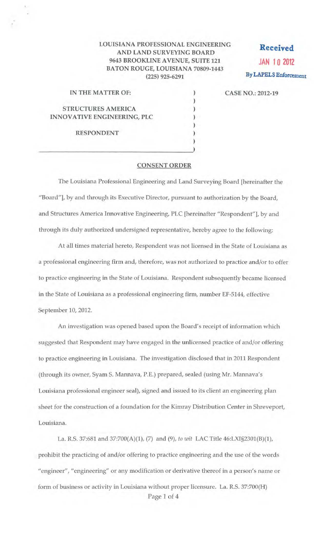## LOUISIANA PROFESSIONAL ENGINEERING AND LAND SURVEYING BOARD 9643 BROOKLINE AVENUE, SUITE 121 BATON ROUGE, LOUISIANA 70809-1443 (225) 925-6291

) ) ) ) )

**Received**  JAN 10 2012 By LAPELS Enforcement

CASE NO.: 2012-19

| IN THE MATTER OF:           |  |
|-----------------------------|--|
|                             |  |
| <b>STRUCTURES AMERICA</b>   |  |
| INNOVATIVE ENGINEERING, PLC |  |
|                             |  |

 $\overline{\phantom{a}}$ 

RESPONDENT

## CONSENT ORDER

The Louisiana Professional Engineering and Land Surveying Board [hereinafter the "Board"], by and through its Executive Director, pursuant to authorization by the Board, and Structures America *llmovative* Engineering, PLC [hereinafter "Respondent"], by and through its duly authorized undersigned representative, hereby agree to the following:

At all times material hereto, Respondent was not licensed in the State of Louisiana as a professional engineering firm and, therefore, was not authorized to practice and/or to offer to practice engineering in the State of Louisiana. Respondent subsequently became licensed in the State of Louisiana as a professional engineering firm, number EF-5144, effective September 10, 2012.

An investigation was opened based upon the Board's receipt of information which suggested that Respondent may have engaged in the unlicensed practice of and/or offering to practice engineering in Louisiana. The investigation disclosed that in 2011 Respondent (through its owner, Syam S. Mannava, P.E.) prepared, sealed (using Mr. Mannava's Louisiana professional engineer seal), signed and issued to its client an engineering plan sheet for the construction of a foundation for the Kimray Distribution Center in Shreveport, Louisiana.

La. R.S. 37:681 and 37:700(A)(1), (7) and (9), *to wit* LAC Title 46:LXI§2301(B)(1), prohibit the practicing of and/or offering to practice engineering and the use of the words "engineer", "engineering" or any modification or derivative thereof in a person's name or form of business or activity in Louisiana without proper licensure. La. R.S. 37:700(H)

Page 1 of 4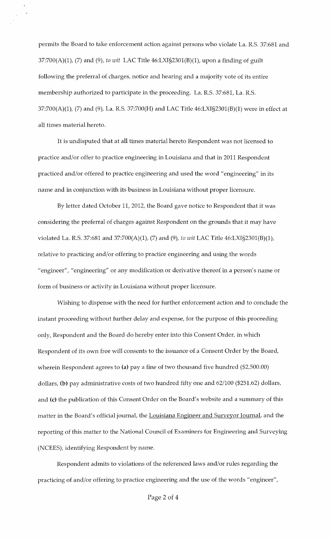permits the Board to take enforcement action against persons who violate La. R.S. 37:681 and 37:700(A)(1), (7) and (9), *to wit* LAC Title 46:LXI§2301(B)(1), upon a finding of guilt following the preferral of charges, notice and hearing and a majority vote of its entire membership authorized to participate in the proceeding. La. R.S. 37:681, La. R.S. 37:700(A)(1), (7) and (9), La. R.S. 37:700(H) and LAC Title 46:LXI§2301(B)(1) were in effect at all times material hereto.

It is undisputed that at all times material hereto Respondent was not licensed to practice and/or offer to practice engineering in Louisiana and that in 2011 Respondent practiced and/or offered to practice engineering and used the word "engineering" in its name and in conjunction with its business in Louisiana without proper licensure.

By letter dated October 11, 2012, the Board gave notice to Respondent that it was considering the preferral of charges against Respondent on the grounds that it may have violated La. R.S. 37:681 and 37:700(A)(1), (7) and (9), *to wit* LAC Title 46:LXI§2301(B)(1), relative to practicing and/or offering to practice engineering and using the words "engineer", "engineering" or any modification or derivative thereof in a person's name or form of business or activity in Louisiana without proper licensure.

Wishing to dispense with the need for further enforcement action and to conclude the instant proceeding without further delay and expense, for the purpose of this proceeding only, Respondent and the Board do hereby enter into this Consent Order, in which Respondent of its own free will consents to the issuance of a Consent Order by the Board, wherein Respondent agrees to (a) pay a fine of two thousand five hundred (\$2,500.00) dollars, (b) pay administrative costs of two hundred fifty one and 62/100 (\$251.62) dollars, and (c) the publication of this Consent Order on the Board's website and a summary of this matter in the Board's official journal, the Louisiana Engineer and Surveyor Journal, and the reporting of this matter to the National Council of Examiners for Engineering and Surveying (NCEES), identifying Respondent by name.

Respondent admits to violations of the referenced laws and/or rules regarding the practicing of and/or offering to practice engineering and the use of the words "engineer",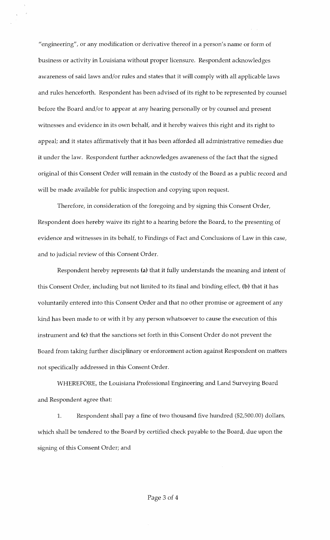"engineering", or any modification or derivative thereof in a person's name or form of business or activity in Louisiana without proper licensure. Respondent acknowledges awareness of said laws and/or rules and states that it will comply with all applicable laws and rules henceforth. Respondent has been advised of its right to be represented by counsel before the Board and/or to appear at any hearing personally or by counsel and present witnesses and evidence in its own behalf, and it hereby waives this right and its right to appeal; and it states affirmatively that it has been afforded all administrative remedies due it under the law. Respondent further acknowledges awareness of the fact that the signed original of this Consent Order will remain in the custody of the Board as a public record and will be made available for public inspection and copying upon request.

Therefore, in consideration of the foregoing and by signing this Consent Order, Respondent does hereby waive its right to a hearing before the Board, to the presenting of evidence and witnesses in its behalf, to Findings of Fact and Conclusions of Law in this case, and to judicial review of this Consent Order.

Respondent hereby represents (a) that it fully understands the meaning and intent of this Consent Order, including but not limited to its final and binding effect, (b) that it has voluntarily entered into this Consent Order and that no other promise or agreement of any kind has been made to or with it by any person whatsoever to cause the execution of this instrument and (c) that the sanctions set forth in this Consent Order do not prevent the Board from taking further disciplinary or enforcement action against Respondent on matters not specifically addressed in this Consent Order.

WHEREFORE, the Louisiana Professional Engineering and Land Surveying Board and Respondent agree that:

1. Respondent shall pay a fine of two thousand five hundred (\$2,500.00) dollars, which shall be tendered to the Board by certified check payable to the Board, due upon the signing of this Consent Order; and